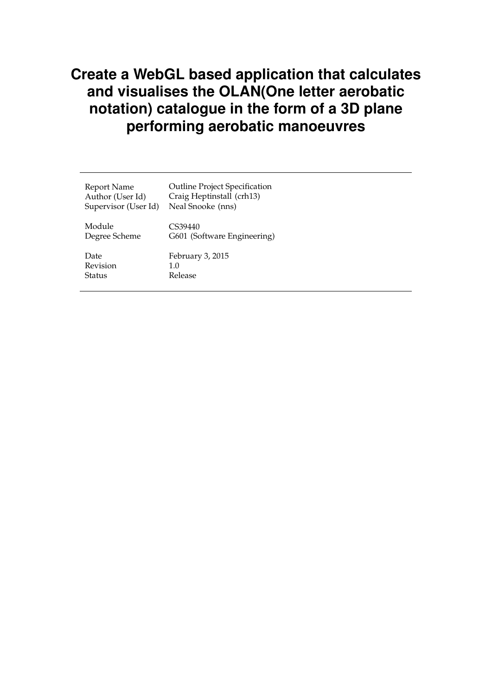# **Create a WebGL based application that calculates and visualises the OLAN(One letter aerobatic notation) catalogue in the form of a 3D plane performing aerobatic manoeuvres**

| Report Name          | <b>Outline Project Specification</b> |
|----------------------|--------------------------------------|
| Author (User Id)     | Craig Heptinstall (crh13)            |
| Supervisor (User Id) | Neal Snooke (nns)                    |
| Module               | CS39440                              |
| Degree Scheme        | G601 (Software Engineering)          |
| Date                 | February 3, 2015                     |
| Revision             | 1.0                                  |
| Status               | Release                              |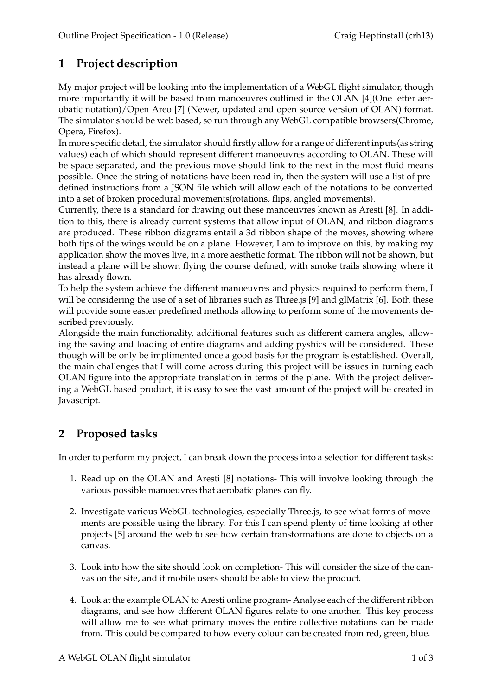## **1 Project description**

My major project will be looking into the implementation of a WebGL flight simulator, though more importantly it will be based from manoeuvres outlined in the OLAN [4](One letter aerobatic notation)/Open Areo [7] (Newer, updated and open source version of OLAN) format. The simulator should be web based, so run through any WebGL compatible browsers(Chrome, Opera, Firefox).

In more specific detail, the simulator should firstly allow for a range of different inputs(as string values) each of which should represent different manoeuvres according to OLAN. These will be space separated, and the previous move should link to the next in the most fluid means possible. Once the string of notations have been read in, then the system will use a list of predefined instructions from a JSON file which will allow each of the notations to be converted into a set of broken procedural movements(rotations, flips, angled movements).

Currently, there is a standard for drawing out these manoeuvres known as Aresti [8]. In addition to this, there is already current systems that allow input of OLAN, and ribbon diagrams are produced. These ribbon diagrams entail a 3d ribbon shape of the moves, showing where both tips of the wings would be on a plane. However, I am to improve on this, by making my application show the moves live, in a more aesthetic format. The ribbon will not be shown, but instead a plane will be shown flying the course defined, with smoke trails showing where it has already flown.

To help the system achieve the different manoeuvres and physics required to perform them, I will be considering the use of a set of libraries such as Three.js [9] and glMatrix [6]. Both these will provide some easier predefined methods allowing to perform some of the movements described previously.

Alongside the main functionality, additional features such as different camera angles, allowing the saving and loading of entire diagrams and adding pyshics will be considered. These though will be only be implimented once a good basis for the program is established. Overall, the main challenges that I will come across during this project will be issues in turning each OLAN figure into the appropriate translation in terms of the plane. With the project delivering a WebGL based product, it is easy to see the vast amount of the project will be created in Javascript.

### **2 Proposed tasks**

In order to perform my project, I can break down the process into a selection for different tasks:

- 1. Read up on the OLAN and Aresti [8] notations- This will involve looking through the various possible manoeuvres that aerobatic planes can fly.
- 2. Investigate various WebGL technologies, especially Three.js, to see what forms of movements are possible using the library. For this I can spend plenty of time looking at other projects [5] around the web to see how certain transformations are done to objects on a canvas.
- 3. Look into how the site should look on completion- This will consider the size of the canvas on the site, and if mobile users should be able to view the product.
- 4. Look at the example OLAN to Aresti online program- Analyse each of the different ribbon diagrams, and see how different OLAN figures relate to one another. This key process will allow me to see what primary moves the entire collective notations can be made from. This could be compared to how every colour can be created from red, green, blue.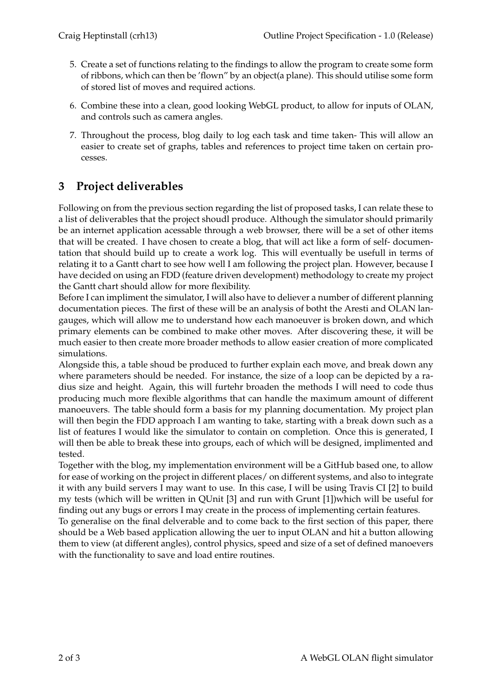- 5. Create a set of functions relating to the findings to allow the program to create some form of ribbons, which can then be 'flown" by an object(a plane). This should utilise some form of stored list of moves and required actions.
- 6. Combine these into a clean, good looking WebGL product, to allow for inputs of OLAN, and controls such as camera angles.
- 7. Throughout the process, blog daily to log each task and time taken- This will allow an easier to create set of graphs, tables and references to project time taken on certain processes.

### **3 Project deliverables**

Following on from the previous section regarding the list of proposed tasks, I can relate these to a list of deliverables that the project shoudl produce. Although the simulator should primarily be an internet application acessable through a web browser, there will be a set of other items that will be created. I have chosen to create a blog, that will act like a form of self- documentation that should build up to create a work log. This will eventually be usefull in terms of relating it to a Gantt chart to see how well I am following the project plan. However, because I have decided on using an FDD (feature driven development) methodology to create my project the Gantt chart should allow for more flexibility.

Before I can impliment the simulator, I will also have to deliever a number of different planning documentation pieces. The first of these will be an analysis of botht the Aresti and OLAN langauges, which will allow me to understand how each manoeuver is broken down, and which primary elements can be combined to make other moves. After discovering these, it will be much easier to then create more broader methods to allow easier creation of more complicated simulations.

Alongside this, a table shoud be produced to further explain each move, and break down any where parameters should be needed. For instance, the size of a loop can be depicted by a radius size and height. Again, this will furtehr broaden the methods I will need to code thus producing much more flexible algorithms that can handle the maximum amount of different manoeuvers. The table should form a basis for my planning documentation. My project plan will then begin the FDD approach I am wanting to take, starting with a break down such as a list of features I would like the simulator to contain on completion. Once this is generated, I will then be able to break these into groups, each of which will be designed, implimented and tested.

Together with the blog, my implementation environment will be a GitHub based one, to allow for ease of working on the project in different places/ on different systems, and also to integrate it with any build servers I may want to use. In this case, I will be using Travis CI [2] to build my tests (which will be written in QUnit [3] and run with Grunt [1])which will be useful for finding out any bugs or errors I may create in the process of implementing certain features.

To generalise on the final delverable and to come back to the first section of this paper, there should be a Web based application allowing the uer to input OLAN and hit a button allowing them to view (at different angles), control physics, speed and size of a set of defined manoevers with the functionality to save and load entire routines.